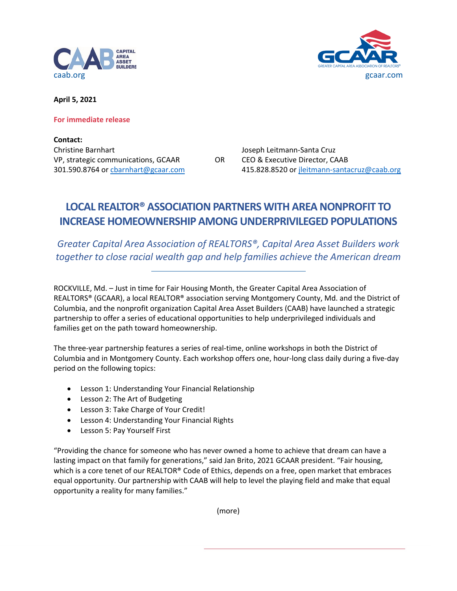



**April 5, 2021**

**For immediate release**

**Contact:** Christine Barnhart Joseph Leitmann-Santa Cruz VP, strategic communications, GCAAR OR CEO & Executive Director, CAAB

301.590.8764 or [cbarnhart@gcaar.com](mailto:cbarnhart@gcaar.com) 415.828.8520 or [jleitmann-santacruz@caab.org](mailto:MSmith@caab.org)

## **LOCAL REALTOR® ASSOCIATION PARTNERS WITH AREA NONPROFIT TO INCREASE HOMEOWNERSHIP AMONG UNDERPRIVILEGED POPULATIONS**

*Greater Capital Area Association of REALTORS®, Capital Area Asset Builders work together to close racial wealth gap and help families achieve the American dream*

ROCKVILLE, Md. – Just in time for Fair Housing Month, the Greater Capital Area Association of REALTORS® (GCAAR), a local REALTOR® association serving Montgomery County, Md. and the District of Columbia, and the nonprofit organization Capital Area Asset Builders (CAAB) have launched a strategic partnership to offer a series of educational opportunities to help underprivileged individuals and families get on the path toward homeownership.

The three-year partnership features a series of real-time, online workshops in both the District of Columbia and in Montgomery County. Each workshop offers one, hour-long class daily during a five-day period on the following topics:

- Lesson 1: Understanding Your Financial Relationship
- Lesson 2: The Art of Budgeting
- Lesson 3: Take Charge of Your Credit!
- Lesson 4: Understanding Your Financial Rights
- Lesson 5: Pay Yourself First

"Providing the chance for someone who has never owned a home to achieve that dream can have a lasting impact on that family for generations," said Jan Brito, 2021 GCAAR president. "Fair housing, which is a core tenet of our REALTOR® Code of Ethics, depends on a free, open market that embraces equal opportunity. Our partnership with CAAB will help to level the playing field and make that equal opportunity a reality for many families."

(more)